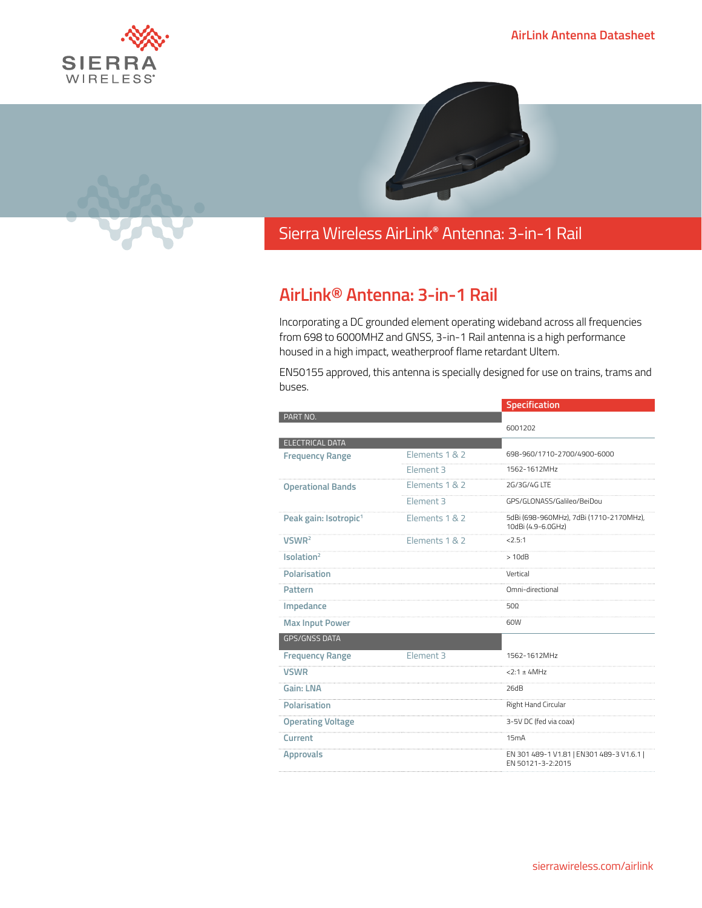



## Sierra Wireless **EMBEDDED MODULES HL SERIES** AirLink**®** Antenna: 3-in-1 Rail

## **AirLink® Antenna: 3-in-1 Rail**

Incorporating a DC grounded element operating wideband across all frequencies from 698 to 6000MHZ and GNSS, 3-in-1 Rail antenna is a high performance housed in a high impact, weatherproof flame retardant Ultem.

EN50155 approved, this antenna is specially designed for use on trains, trams and buses.

|                                   |                      | Specification                                                  |
|-----------------------------------|----------------------|----------------------------------------------------------------|
| PART NO.                          |                      |                                                                |
|                                   |                      | 6001202                                                        |
| <b>ELECTRICAL DATA</b>            |                      |                                                                |
| <b>Frequency Range</b>            | Elements 1 & 2       | 698-960/1710-2700/4900-6000                                    |
|                                   | Element 3            | 1562-1612MHz                                                   |
| <b>Operational Bands</b>          | Elements 1 & 2       | 2G/3G/4G LTF                                                   |
|                                   | Element <sub>3</sub> | GPS/GLONASS/Galileo/BeiDou                                     |
| Peak gain: Isotropic <sup>1</sup> | Elements 1 & 2       | 5dBi (698-960MHz), 7dBi (1710-2170MHz),<br>10dBi (4.9-6.0GHz)  |
| VSWR <sup>2</sup>                 | Elements 1 & 2       | 2.5:1                                                          |
| Isolation <sup>2</sup>            |                      | >10dB                                                          |
| <b>Polarisation</b>               |                      | Vertical                                                       |
| Pattern                           |                      | Omni-directional                                               |
| Impedance                         |                      | 500                                                            |
| <b>Max Input Power</b>            |                      | 60W                                                            |
| <b>GPS/GNSS DATA</b>              |                      |                                                                |
| <b>Frequency Range</b>            | Element 3            | 1562-1612MHz                                                   |
| <b>VSWR</b>                       |                      | $2:1 \pm 4MHz$                                                 |
| Gain: LNA                         |                      | 26dB                                                           |
| <b>Polarisation</b>               |                      | Right Hand Circular                                            |
| <b>Operating Voltage</b>          |                      | 3-5V DC (fed via coax)                                         |
| Current                           |                      | 15mA                                                           |
| <b>Approvals</b>                  |                      | EN 301 489-1 V1.81   EN301 489-3 V1.6.1  <br>EN 50121-3-2:2015 |